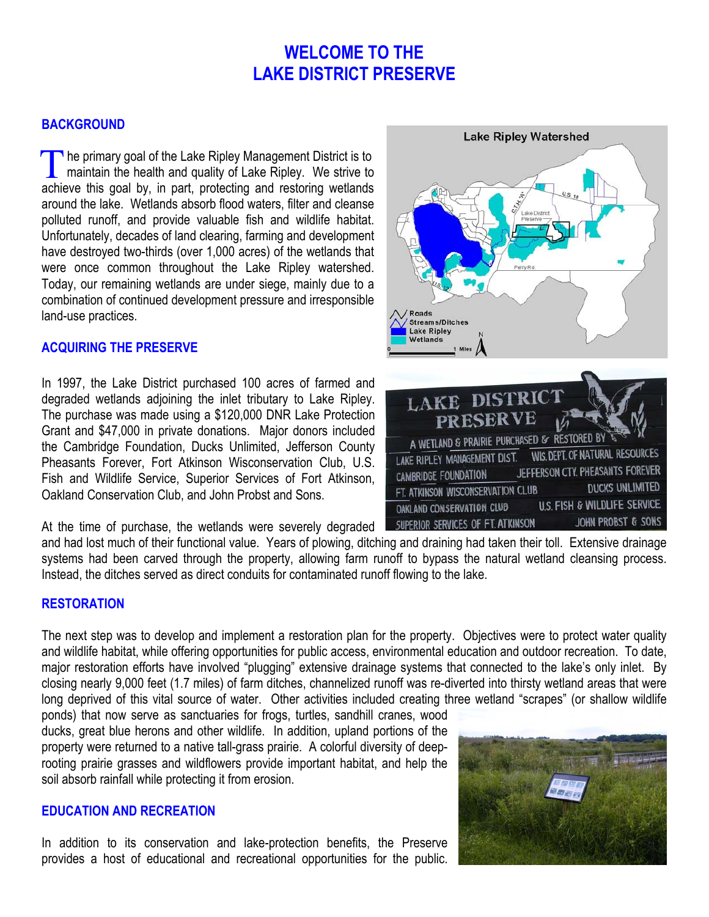# **WELCOME TO THE LAKE DISTRICT PRESERVE**

### **BACKGROUND**

The primary goal of the Lake Ripley Management District is to<br>maintain the health and quality of Lake Ripley. We strive to maintain the health and quality of Lake Ripley. We strive to achieve this goal by, in part, protecting and restoring wetlands around the lake. Wetlands absorb flood waters, filter and cleanse polluted runoff, and provide valuable fish and wildlife habitat. Unfortunately, decades of land clearing, farming and development have destroyed two-thirds (over 1,000 acres) of the wetlands that were once common throughout the Lake Ripley watershed. Today, our remaining wetlands are under siege, mainly due to a combination of continued development pressure and irresponsible land-use practices.

#### **ACQUIRING THE PRESERVE**

In 1997, the Lake District purchased 100 acres of farmed and degraded wetlands adjoining the inlet tributary to Lake Ripley. The purchase was made using a \$120,000 DNR Lake Protection Grant and \$47,000 in private donations. Major donors included the Cambridge Foundation, Ducks Unlimited, Jefferson County Pheasants Forever, Fort Atkinson Wisconservation Club, U.S. Fish and Wildlife Service, Superior Services of Fort Atkinson, Oakland Conservation Club, and John Probst and Sons.

At the time of purchase, the wetlands were severely degraded



and had lost much of their functional value. Years of plowing, ditching and draining had taken their toll. Extensive drainage systems had been carved through the property, allowing farm runoff to bypass the natural wetland cleansing process. Instead, the ditches served as direct conduits for contaminated runoff flowing to the lake.

#### **RESTORATION**

The next step was to develop and implement a restoration plan for the property. Objectives were to protect water quality and wildlife habitat, while offering opportunities for public access, environmental education and outdoor recreation. To date, major restoration efforts have involved "plugging" extensive drainage systems that connected to the lake's only inlet. By closing nearly 9,000 feet (1.7 miles) of farm ditches, channelized runoff was re-diverted into thirsty wetland areas that were long deprived of this vital source of water. Other activities included creating three wetland "scrapes" (or shallow wildlife

ponds) that now serve as sanctuaries for frogs, turtles, sandhill cranes, wood ducks, great blue herons and other wildlife. In addition, upland portions of the property were returned to a native tall-grass prairie. A colorful diversity of deeprooting prairie grasses and wildflowers provide important habitat, and help the soil absorb rainfall while protecting it from erosion.

### **EDUCATION AND RECREATION**

In addition to its conservation and lake-protection benefits, the Preserve provides a host of educational and recreational opportunities for the public.